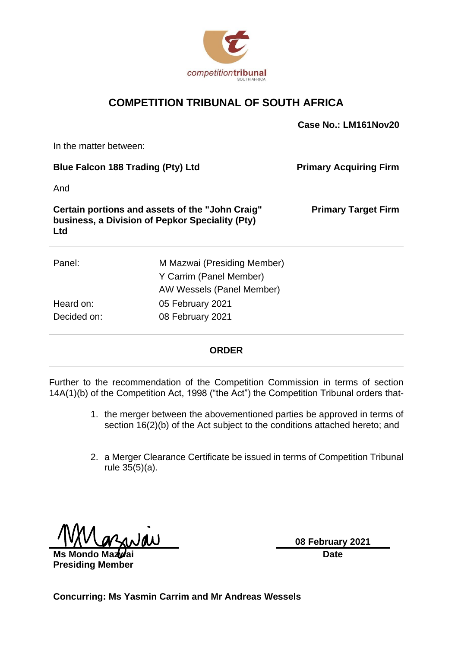

### **COMPETITION TRIBUNAL OF SOUTH AFRICA**

|                                                               |                                                                                     | Case No.: LM161Nov20          |
|---------------------------------------------------------------|-------------------------------------------------------------------------------------|-------------------------------|
| In the matter between:                                        |                                                                                     |                               |
| <b>Blue Falcon 188 Trading (Pty) Ltd</b>                      |                                                                                     | <b>Primary Acquiring Firm</b> |
| And                                                           |                                                                                     |                               |
| business, a Division of Pepkor Speciality (Pty)<br><b>Ltd</b> | Certain portions and assets of the "John Craig"                                     | <b>Primary Target Firm</b>    |
| Panel:                                                        | M Mazwai (Presiding Member)<br>Y Carrim (Panel Member)<br>AW Wessels (Panel Member) |                               |
| Heard on:                                                     | 05 February 2021                                                                    |                               |
| Decided on:                                                   | 08 February 2021                                                                    |                               |

#### **ORDER**

Further to the recommendation of the Competition Commission in terms of section 14A(1)(b) of the Competition Act, 1998 ("the Act") the Competition Tribunal orders that-

- 1. the merger between the abovementioned parties be approved in terms of section 16(2)(b) of the Act subject to the conditions attached hereto; and
- 2. a Merger Clearance Certificate be issued in terms of Competition Tribunal rule 35(5)(a).

**Ms Mondo Mazwai Presiding Member** **08 February 2021 Date**

**Concurring: Ms Yasmin Carrim and Mr Andreas Wessels**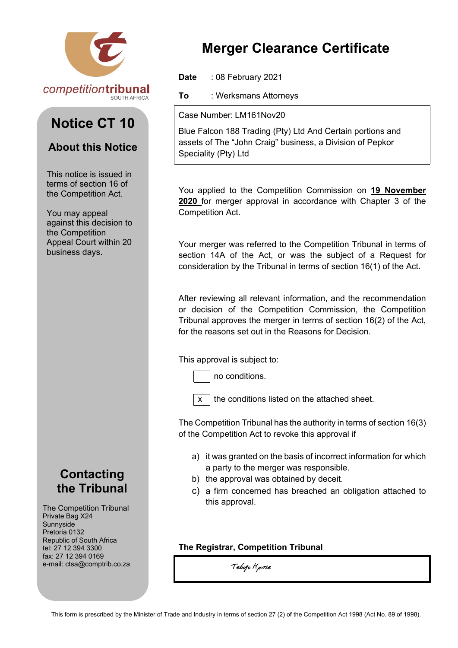

# **Notice CT 10**

## **About this Notice**

This notice is issued in terms of section 16 of the Competition Act.

You may appeal against this decision to the Competition Appeal Court within 20 business days.

## **Contacting the Tribunal**

The Competition Tribunal Private Bag X24 Sunnyside Pretoria 0132 Republic of South Africa tel: 27 12 394 3300 fax: 27 12 394 0169 e-mail: ctsa@comptrib.co.za

# **Merger Clearance Certificate**

**Date** : 08 February 2021

**To** : Werksmans Attorneys

Case Number: LM161Nov20

Blue Falcon 188 Trading (Pty) Ltd And Certain portions and assets of The "John Craig" business, a Division of Pepkor Speciality (Pty) Ltd

You applied to the Competition Commission on **19 November 2020** for merger approval in accordance with Chapter 3 of the Competition Act.

Your merger was referred to the Competition Tribunal in terms of section 14A of the Act, or was the subject of a Request for consideration by the Tribunal in terms of section 16(1) of the Act.

After reviewing all relevant information, and the recommendation or decision of the Competition Commission, the Competition Tribunal approves the merger in terms of section 16(2) of the Act, for the reasons set out in the Reasons for Decision.

This approval is subject to:



no conditions.

 $x \mid$  the conditions listed on the attached sheet.

The Competition Tribunal has the authority in terms of section 16(3) of the Competition Act to revoke this approval if

- a) it was granted on the basis of incorrect information for which a party to the merger was responsible.
- b) the approval was obtained by deceit.
- c) a firm concerned has breached an obligation attached to this approval.

#### **The Registrar, Competition Tribunal**

Tebogo Hpirle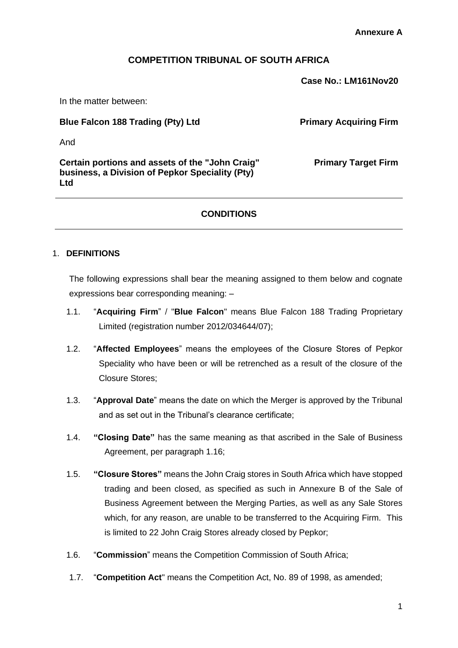#### **COMPETITION TRIBUNAL OF SOUTH AFRICA**

**Case No.: LM161Nov20**

In the matter between:

**Blue Falcon 188 Trading (Pty) Ltd Primary Acquiring Firm** 

**Primary Target Firm**

And

**Certain portions and assets of the "John Craig" business, a Division of Pepkor Speciality (Pty) Ltd**

#### **CONDITIONS**

#### 1. **DEFINITIONS**

The following expressions shall bear the meaning assigned to them below and cognate expressions bear corresponding meaning: –

- 1.1. "**Acquiring Firm**" / "**Blue Falcon**" means Blue Falcon 188 Trading Proprietary Limited (registration number 2012/034644/07);
- 1.2. "**Affected Employees**" means the employees of the Closure Stores of Pepkor Speciality who have been or will be retrenched as a result of the closure of the Closure Stores;
- 1.3. "**Approval Date**" means the date on which the Merger is approved by the Tribunal and as set out in the Tribunal's clearance certificate;
- 1.4. **"Closing Date"** has the same meaning as that ascribed in the Sale of Business Agreement, per paragraph 1.16;
- 1.5. **"Closure Stores"** means the John Craig stores in South Africa which have stopped trading and been closed, as specified as such in Annexure B of the Sale of Business Agreement between the Merging Parties, as well as any Sale Stores which, for any reason, are unable to be transferred to the Acquiring Firm. This is limited to 22 John Craig Stores already closed by Pepkor;
- 1.6. "**Commission**" means the Competition Commission of South Africa;
- 1.7. "**Competition Act**" means the Competition Act, No. 89 of 1998, as amended;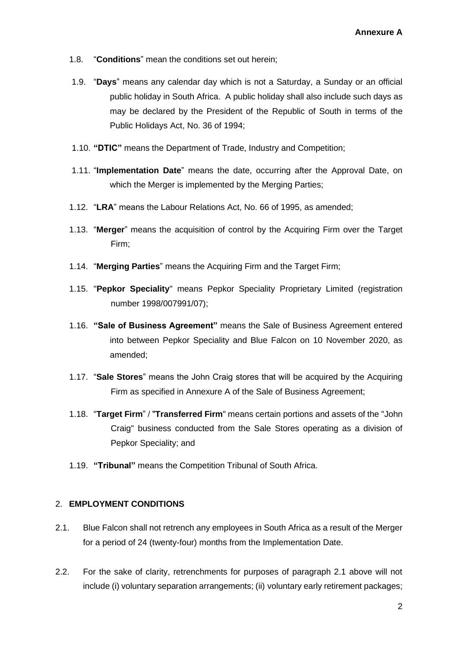- 1.8. "**Conditions**" mean the conditions set out herein;
- 1.9. "**Days**" means any calendar day which is not a Saturday, a Sunday or an official public holiday in South Africa. A public holiday shall also include such days as may be declared by the President of the Republic of South in terms of the Public Holidays Act, No. 36 of 1994;
- 1.10. **"DTIC"** means the Department of Trade, Industry and Competition;
- 1.11. "**Implementation Date**" means the date, occurring after the Approval Date, on which the Merger is implemented by the Merging Parties;
- 1.12. "**LRA**" means the Labour Relations Act, No. 66 of 1995, as amended;
- 1.13. "**Merger**" means the acquisition of control by the Acquiring Firm over the Target Firm;
- 1.14. "**Merging Parties**" means the Acquiring Firm and the Target Firm;
- 1.15. "**Pepkor Speciality**" means Pepkor Speciality Proprietary Limited (registration number 1998/007991/07);
- 1.16. **"Sale of Business Agreement"** means the Sale of Business Agreement entered into between Pepkor Speciality and Blue Falcon on 10 November 2020, as amended;
- 1.17. "**Sale Stores**" means the John Craig stores that will be acquired by the Acquiring Firm as specified in Annexure A of the Sale of Business Agreement;
- 1.18. "**Target Firm**" / "**Transferred Firm**" means certain portions and assets of the "John Craig" business conducted from the Sale Stores operating as a division of Pepkor Speciality; and
- 1.19. **"Tribunal"** means the Competition Tribunal of South Africa.

#### 2. **EMPLOYMENT CONDITIONS**

- 2.1. Blue Falcon shall not retrench any employees in South Africa as a result of the Merger for a period of 24 (twenty-four) months from the Implementation Date.
- 2.2. For the sake of clarity, retrenchments for purposes of paragraph 2.1 above will not include (i) voluntary separation arrangements; (ii) voluntary early retirement packages;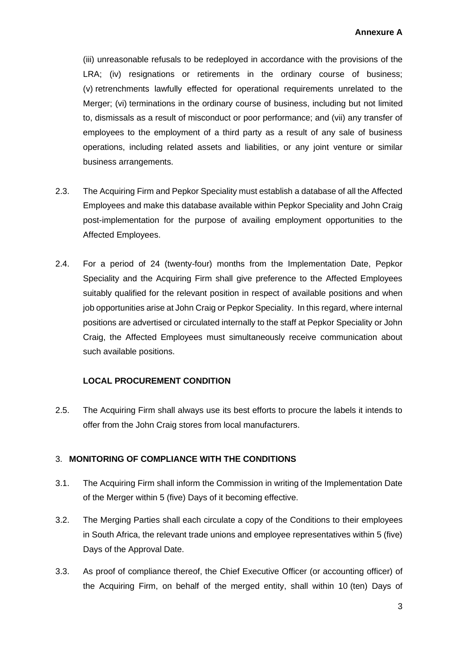(iii) unreasonable refusals to be redeployed in accordance with the provisions of the LRA; (iv) resignations or retirements in the ordinary course of business; (v) retrenchments lawfully effected for operational requirements unrelated to the Merger; (vi) terminations in the ordinary course of business, including but not limited to, dismissals as a result of misconduct or poor performance; and (vii) any transfer of employees to the employment of a third party as a result of any sale of business operations, including related assets and liabilities, or any joint venture or similar business arrangements.

- 2.3. The Acquiring Firm and Pepkor Speciality must establish a database of all the Affected Employees and make this database available within Pepkor Speciality and John Craig post-implementation for the purpose of availing employment opportunities to the Affected Employees.
- 2.4. For a period of 24 (twenty-four) months from the Implementation Date, Pepkor Speciality and the Acquiring Firm shall give preference to the Affected Employees suitably qualified for the relevant position in respect of available positions and when job opportunities arise at John Craig or Pepkor Speciality. In this regard, where internal positions are advertised or circulated internally to the staff at Pepkor Speciality or John Craig, the Affected Employees must simultaneously receive communication about such available positions.

#### **LOCAL PROCUREMENT CONDITION**

2.5. The Acquiring Firm shall always use its best efforts to procure the labels it intends to offer from the John Craig stores from local manufacturers.

#### 3. **MONITORING OF COMPLIANCE WITH THE CONDITIONS**

- 3.1. The Acquiring Firm shall inform the Commission in writing of the Implementation Date of the Merger within 5 (five) Days of it becoming effective.
- 3.2. The Merging Parties shall each circulate a copy of the Conditions to their employees in South Africa, the relevant trade unions and employee representatives within 5 (five) Days of the Approval Date.
- 3.3. As proof of compliance thereof, the Chief Executive Officer (or accounting officer) of the Acquiring Firm, on behalf of the merged entity, shall within 10 (ten) Days of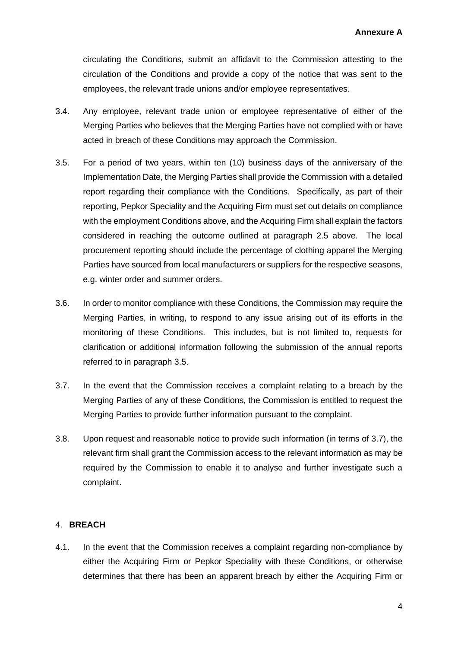circulating the Conditions, submit an affidavit to the Commission attesting to the circulation of the Conditions and provide a copy of the notice that was sent to the employees, the relevant trade unions and/or employee representatives.

- 3.4. Any employee, relevant trade union or employee representative of either of the Merging Parties who believes that the Merging Parties have not complied with or have acted in breach of these Conditions may approach the Commission.
- 3.5. For a period of two years, within ten (10) business days of the anniversary of the Implementation Date, the Merging Parties shall provide the Commission with a detailed report regarding their compliance with the Conditions. Specifically, as part of their reporting, Pepkor Speciality and the Acquiring Firm must set out details on compliance with the employment Conditions above, and the Acquiring Firm shall explain the factors considered in reaching the outcome outlined at paragraph 2.5 above. The local procurement reporting should include the percentage of clothing apparel the Merging Parties have sourced from local manufacturers or suppliers for the respective seasons, e.g. winter order and summer orders.
- 3.6. In order to monitor compliance with these Conditions, the Commission may require the Merging Parties, in writing, to respond to any issue arising out of its efforts in the monitoring of these Conditions. This includes, but is not limited to, requests for clarification or additional information following the submission of the annual reports referred to in paragraph 3.5.
- 3.7. In the event that the Commission receives a complaint relating to a breach by the Merging Parties of any of these Conditions, the Commission is entitled to request the Merging Parties to provide further information pursuant to the complaint.
- 3.8. Upon request and reasonable notice to provide such information (in terms of 3.7), the relevant firm shall grant the Commission access to the relevant information as may be required by the Commission to enable it to analyse and further investigate such a complaint.

#### 4. **BREACH**

4.1. In the event that the Commission receives a complaint regarding non-compliance by either the Acquiring Firm or Pepkor Speciality with these Conditions, or otherwise determines that there has been an apparent breach by either the Acquiring Firm or